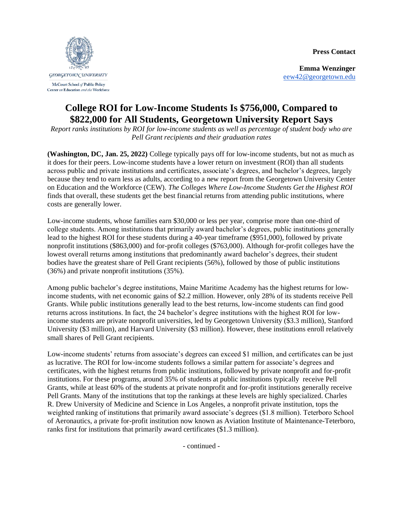**Press Contact**



McCourt School of Public Policy Center on Education and the Workforce

**Emma Wenzinger** [eew42@georgetown.edu](mailto:eew42@georgetown.edu)

## **College ROI for Low-Income Students Is \$756,000, Compared to \$822,000 for All Students, Georgetown University Report Says**

*Report ranks institutions by ROI for low-income students as well as percentage of student body who are Pell Grant recipients and their graduation rates*

**(Washington, DC, Jan. 25, 2022)** College typically pays off for low-income students, but not as much as it does for their peers. Low-income students have a lower return on investment (ROI) than all students across public and private institutions and certificates, associate's degrees, and bachelor's degrees, largely because they tend to earn less as adults, according to a new report from the Georgetown University Center on Education and the Workforce (CEW). *The Colleges Where Low-Income Students Get the Highest ROI* finds that overall, these students get the best financial returns from attending public institutions, where costs are generally lower.

Low-income students, whose families earn \$30,000 or less per year, comprise more than one-third of college students. Among institutions that primarily award bachelor's degrees, public institutions generally lead to the highest ROI for these students during a 40-year timeframe (\$951,000), followed by private nonprofit institutions (\$863,000) and for-profit colleges (\$763,000). Although for-profit colleges have the lowest overall returns among institutions that predominantly award bachelor's degrees, their student bodies have the greatest share of Pell Grant recipients (56%), followed by those of public institutions (36%) and private nonprofit institutions (35%).

Among public bachelor's degree institutions, Maine Maritime Academy has the highest returns for lowincome students, with net economic gains of \$2.2 million. However, only 28% of its students receive Pell Grants. While public institutions generally lead to the best returns, low-income students can find good returns across institutions. In fact, the 24 bachelor's degree institutions with the highest ROI for lowincome students are private nonprofit universities, led by Georgetown University (\$3.3 million), Stanford University (\$3 million), and Harvard University (\$3 million). However, these institutions enroll relatively small shares of Pell Grant recipients.

Low-income students' returns from associate's degrees can exceed \$1 million, and certificates can be just as lucrative. The ROI for low-income students follows a similar pattern for associate's degrees and certificates, with the highest returns from public institutions, followed by private nonprofit and for-profit institutions. For these programs, around 35% of students at public institutions typically receive Pell Grants, while at least 60% of the students at private nonprofit and for-profit institutions generally receive Pell Grants. Many of the institutions that top the rankings at these levels are highly specialized. Charles R. Drew University of Medicine and Science in Los Angeles, a nonprofit private institution, tops the weighted ranking of institutions that primarily award associate's degrees (\$1.8 million). Teterboro School of Aeronautics, a private for-profit institution now known as Aviation Institute of Maintenance-Teterboro, ranks first for institutions that primarily award certificates (\$1.3 million).

- continued -